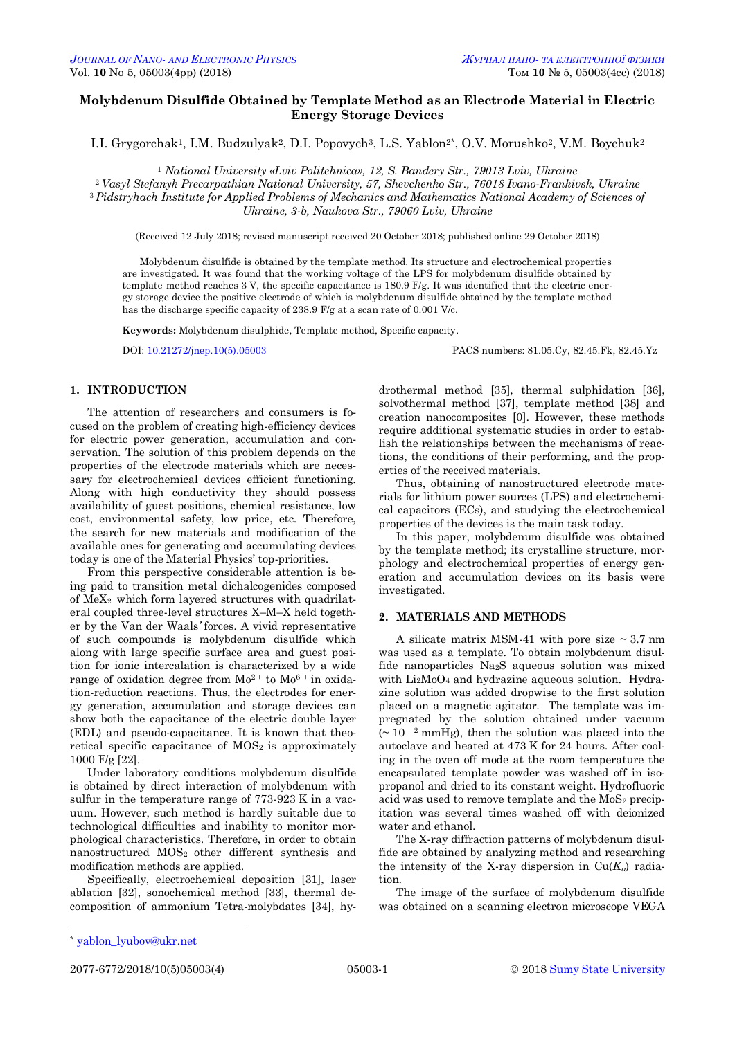## **Molybdenum Disulfide Obtained by Template Method as an Electrode Material in Electric Energy Storage Devices**

I.I. Grygorchak<sup>1</sup>, I.M. Budzulyak<sup>2</sup>, D.I. Popovych<sup>3</sup>, L.S. Yablon<sup>2\*</sup>, O.V. Morushko<sup>2</sup>, V.M. Boychuk<sup>2</sup>

<sup>1</sup> *National University «Lviv Politehnica», 12, S. Bandery Str., 79013 Lviv, Ukraine*

<sup>2</sup>*Vasyl Stefanyk Precarpathian National University, 57, Shevchenko Str., 76018 Ivano-Frankivsk, Ukraine* <sup>3</sup> *Pidstryhach Institute for Applied Problems of Mechanics and Mathematics National Academy of Sciences of Ukraine, 3-b, Naukova Str., 79060 Lviv, Ukraine*

(Received 12 July 2018; revised manuscript received 20 October 2018; published online 29 October 2018)

Molybdenum disulfide is obtained by the template method. Its structure and electrochemical properties are investigated. It was found that the working voltage of the LPS for molybdenum disulfide obtained by template method reaches 3 V, the specific capacitance is 180.9 F/g. It was identified that the electric energy storage device the positive electrode of which is molybdenum disulfide obtained by the template method has the discharge specific capacity of 238.9 F/g at a scan rate of 0.001 V/c.

**Keywords:** Molybdenum disulphide, Template method, Specific capacity.

DOI: [10.21272/jnep.10\(5\).05003](https://doi.org/10.21272/jnep.10(5).05003) PACS numbers: 81.05.Cy, 82.45.Fk, 82.45.Yz

### **1. INTRODUCTION**

The attention of researchers and consumers is focused on the problem of creating high-efficiency devices for electric power generation, accumulation and conservation. The solution of this problem depends on the properties of the electrode materials which are necessary for electrochemical devices efficient functioning. Along with high conductivity they should possess availability of guest positions, chemical resistance, low cost, environmental safety, low price, etc. Therefore, the search for new materials and modification of the available ones for generating and accumulating devices today is one of the Material Physics' top-priorities.

From this perspective considerable attention is being paid to transition metal dichalcogenides composed of МеХ2 which form layered structures with quadrilateral coupled three-level structures X–M–X held together by the Van der Waals*'* forces. A vivid representative of such compounds is molybdenum disulfide which along with large specific surface area and guest position for ionic intercalation is characterized by a wide range of oxidation degree from  $Mo^{2+}$  to  $Mo^{6+}$  in oxidation*-*reduction reactions. Thus, the electrodes for energy generation, accumulation and storage devices can show both the capacitance of the electric double layer (EDL) and pseudo*-*capacitance. It is known that theoretical specific capacitance of  $MOS<sub>2</sub>$  is approximately 1000 F/g [22].

Under laboratory conditions molybdenum disulfide is obtained by direct interaction of molybdenum with sulfur in the temperature range of 773-923 K in a vacuum. However, such method is hardly suitable due to technological difficulties and inability to monitor morphological characteristics. Therefore, in order to obtain nanostructured MOS2 other different synthesis and modification methods are applied.

Specifically, electrochemical deposition [31], laser ablation [32], sonochemical method [33], thermal decomposition of ammonium Tetra*-*molybdates [34], hy-

drothermal method [35], thermal sulphidation [36], solvothermal method [37], template method [38] and creation nanocomposites [0]. However, these methods require additional systematic studies in order to establish the relationships between the mechanisms of reactions, the conditions of their performing, and the properties of the received materials.

Thus, obtaining of nanostructured electrode materials for lithium power sources (LPS) and electrochemical capacitors (ECs), and studying the electrochemical properties of the devices is the main task today.

In this paper, molybdenum disulfide was obtained by the template method; its crystalline structure, morphology and electrochemical properties of energy generation and accumulation devices on its basis were investigated.

## **2. MATERIALS AND METHODS**

A silicate matrix MSM-41 with pore size  $\sim 3.7$  nm was used as a template. To obtain molybdenum disulfide nanoparticles Na2S aqueous solution was mixed with Li<sub>2</sub>MoO<sub>4</sub> and hydrazine aqueous solution. Hydrazine solution was added dropwise to the first solution placed on a magnetic agitator. The template was impregnated by the solution obtained under vacuum  $($   $\sim$  10  $^{-2}$  mmHg), then the solution was placed into the autoclave and heated at 473 K for 24 hours. After cooling in the oven off mode at the room temperature the encapsulated template powder was washed off in isopropanol and dried to its constant weight. Hydrofluoric acid was used to remove template and the  $MoS<sub>2</sub>$  precipitation was several times washed off with deionized water and ethanol.

The X-ray diffraction patterns of molybdenum disulfide are obtained by analyzing method and researching the intensity of the X-ray dispersion in  $Cu(K_{\alpha})$  radiation.

The image of the surface of molybdenum disulfide was obtained on a scanning electron microscope VEGA

-

<span id="page-0-0"></span>

<sup>\*</sup> [yablon\\_lyubov@ukr.net](mailto:yablon_lyubov@ukr.net)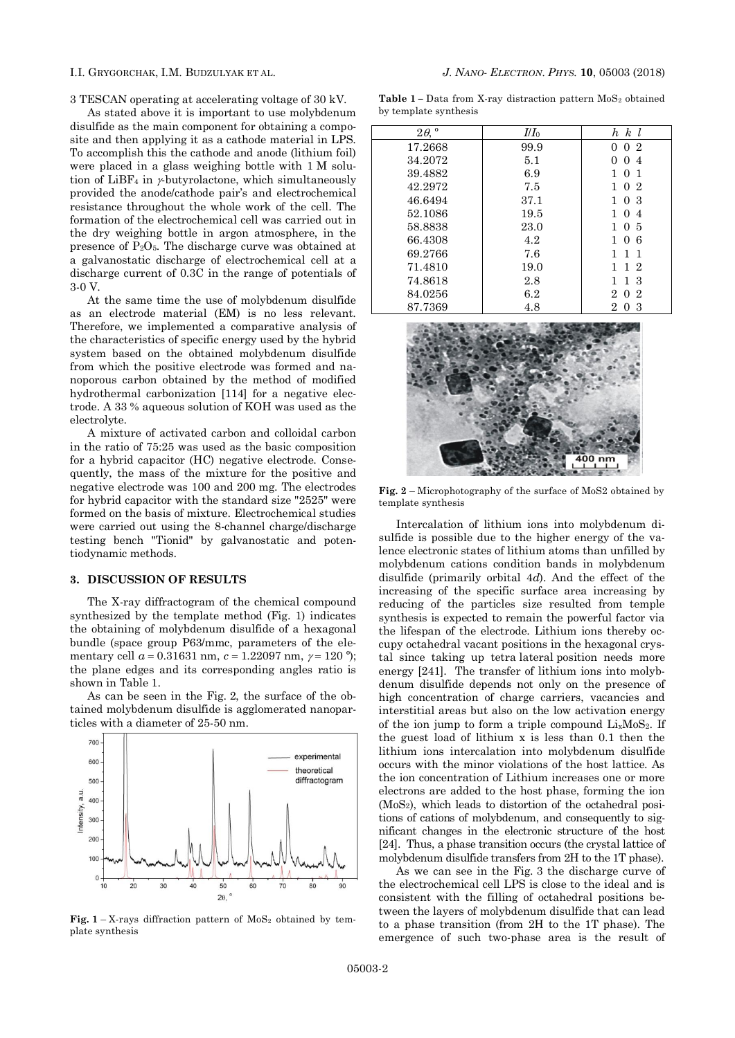3 TESCAN operating at accelerating voltage of 30 kV.

As stated above it is important to use molybdenum disulfide as the main component for obtaining a composite and then applying it as a cathode material in LPS. To accomplish this the cathode and anode (lithium foil) were placed in a glass weighing bottle with 1 M solution of LiBF<sub>4</sub> in  $\nu$ -butyrolactone, which simultaneously provided the anode/cathode pair's and electrochemical resistance throughout the whole work of the cell. The formation of the electrochemical cell was carried out in the dry weighing bottle in argon atmosphere, in the presence of Р2О5. The discharge curve was obtained at a galvanostatic discharge of electrochemical cell at a discharge current of 0.3C in the range of potentials of 3-0 V.

At the same time the use of molybdenum disulfide as an electrode material (EM) is no less relevant. Therefore, we implemented a comparative analysis of the characteristics of specific energy used by the hybrid system based on the obtained molybdenum disulfide from which the positive electrode was formed and nanoporous carbon obtained by the method of modified hydrothermal carbonization [114] for a negative electrode. A 33 % aqueous solution of KOH was used as the electrolyte.

A mixture of activated carbon and colloidal carbon in the ratio of 75:25 was used as the basic composition for a hybrid capacitor (HC) negative electrode. Consequently, the mass of the mixture for the positive and negative electrode was 100 and 200 mg. The electrodes for hybrid capacitor with the standard size "2525" were formed on the basis of mixture. Electrochemical studies were carried out using the 8-channel charge/discharge testing bench "Tionid" by galvanostatic and potentiodynamic methods.

### **3. DISCUSSION OF RESULTS**

The X-ray diffractogram of the chemical compound synthesized by the template method (Fig. 1) indicates the obtaining of molybdenum disulfide of a hexagonal bundle (space group P63/mmc, parameters of the elementary cell  $a = 0.31631$  nm,  $c = 1.22097$  nm,  $\gamma = 120$  °); the plane edges and its corresponding angles ratio is shown in Table 1.

As can be seen in the Fig. 2, the surface of the obtained molybdenum disulfide is agglomerated nanoparticles with a diameter of 25-50 nm.



**Fig.**  $1 - X$ -rays diffraction pattern of  $MoS<sub>2</sub>$  obtained by template synthesis

Table 1 - Data from X-ray distraction pattern MoS<sub>2</sub> obtained by template synthesis

| $2\theta,$ <sup>o</sup> | $II\!I_0$ | $h \; k \; l$                    |
|-------------------------|-----------|----------------------------------|
| 17.2668                 | 99.9      | 0 <sub>2</sub><br>0              |
| 34.2072                 | 5.1       | 0<br>$\overline{4}$<br>$\theta$  |
| 39.4882                 | 6.9       | - 1<br>$\theta$                  |
| 42.2972                 | 7.5       | 0 <sub>2</sub><br>1              |
| 46.6494                 | 37.1      | 0 <sup>3</sup><br>1              |
| 52.1086                 | 19.5      | 1.<br>$\overline{4}$<br>$\theta$ |
| 58.8838                 | 23.0      | 1<br>05                          |
| 66.4308                 | 4.2       | 1<br>-6<br>$\Omega$              |
| 69.2766                 | 7.6       | 1<br>1<br>-1                     |
| 71.4810                 | 19.0      | 1 2<br>1                         |
| 74.8618                 | 2.8       | 3<br>$\mathbf{1}$<br>1           |
| 84.0256                 | 6.2       | 2.<br>2<br>$\Omega$              |
| 87.7369                 | 4.8       | 2<br>3<br>$\cup$                 |



**Fig. 2** – Microphotography of the surface of MoS2 obtained by template synthesis

Intercalation of lithium ions into molybdenum disulfide is possible due to the higher energy of the valence electronic states of lithium atoms than unfilled by molybdenum cations condition bands in molybdenum disulfide (primarily orbital 4*d*). And the effect of the increasing of the specific surface area increasing by reducing of the particles size resulted from temple synthesis is expected to remain the powerful factor via the lifespan of the electrode. Lithium ions thereby occupy octahedral vacant positions in the hexagonal crystal since taking up tetra lateral position needs more energy [241]. The transfer of lithium ions into molybdenum disulfide depends not only on the presence of high concentration of charge carriers, vacancies and interstitial areas but also on the low activation energy of the ion jump to form a triple compound  $Li_xMoS_2$ . If the guest load of lithium x is less than 0.1 then the lithium ions intercalation into molybdenum disulfide occurs with the minor violations of the host lattice. As the ion concentration of Lithium increases one or more electrons are added to the host phase, forming the ion (MoS2), which leads to distortion of the octahedral positions of cations of molybdenum, and consequently to significant changes in the electronic structure of the host [24]. Thus, a phase transition occurs (the crystal lattice of molybdenum disulfide transfers from 2H to the 1T phase).

As we can see in the Fig. 3 the discharge curve of the electrochemical cell LPS is close to the ideal and is consistent with the filling of octahedral positions between the layers of molybdenum disulfide that can lead to a phase transition (from 2H to the 1T phase). The emergence of such two-phase area is the result of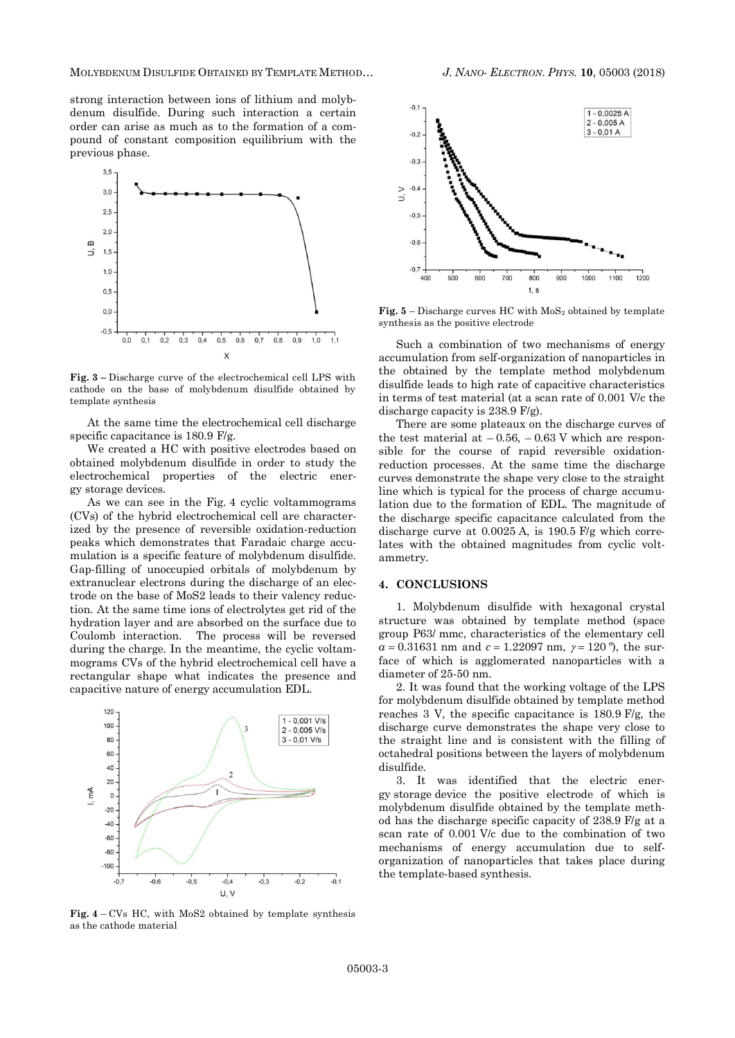MOLYBDENUM DISULFIDE OBTAINED BY TEMPLATE METHOD… *J. NANO- ELECTRON. PHYS.* **10**, [05003](#page-0-0) (2018)



**Fig. 3** – Discharge curve of the electrochemical cell LPS with cathode on the base of molybdenum disulfide obtained by template synthesis

At the same time the electrochemical cell discharge specific capacitance is 180.9 F/g.

We created a HC with positive electrodes based on obtained molybdenum disulfide in order to study the electrochemical properties of the electric energy storage devices*.* 

As we can see in the Fig. 4 cyclic voltammograms (CVs) of the hybrid electrochemical cell are characterized by the presence of reversible oxidation-reduction peaks which demonstrates that Faradaic charge accumulation is a specific feature of molybdenum disulfide. Gap-filling of unoccupied orbitals of molybdenum by extranuclear electrons during the discharge of an electrode on the base of MoS2 leads to their valency reduction. At the same time ions of electrolytes get rid of the hydration layer and are absorbed on the surface due to Coulomb interaction. The process will be reversed during the charge. In the meantime, the cyclic voltammograms CVs of the hybrid electrochemical cell have a rectangular shape what indicates the presence and capacitive nature of energy accumulation EDL.



**Fig. 4** – CVs HC, with MoS2 obtained by template synthesis as the cathode material



**Fig.**  $5$  – Discharge curves HC with  $MoS<sub>2</sub>$  obtained by template synthesis as the positive electrode

Such a combination of two mechanisms of energy accumulation from self-organization of nanoparticles in the obtained by the template method molybdenum disulfide leads to high rate of capacitive characteristics in terms of test material (at a scan rate of 0.001 V/c the discharge capacity is 238.9 F/g).

There are some plateaux on the discharge curves of the test material at  $-0.56$ ,  $-0.63$  V which are responsible for the course of rapid reversible oxidationreduction processes. At the same time the discharge curves demonstrate the shape very close to the straight line which is typical for the process of charge accumulation due to the formation of EDL. The magnitude of the discharge specific capacitance calculated from the discharge curve at 0.0025 A, is 190.5 F/g which correlates with the obtained magnitudes from cyclic voltammetry.

### **4. CONCLUSIONS**

1. Molybdenum disulfide with hexagonal crystal structure was obtained by template method (space group P63/ mmc, characteristics of the elementary cell  $a = 0.31631$  nm and  $c = 1.22097$  nm,  $\gamma = 120$ <sup>o</sup>), the surface of which is agglomerated nanoparticles with a diameter of 25-50 nm.

2. It was found that the working voltage of the LPS for molybdenum disulfide obtained by template method reaches 3 V, the specific capacitance is 180.9 F/g, the discharge curve demonstrates the shape very close to the straight line and is consistent with the filling of octahedral positions between the layers of molybdenum disulfide.

3. It was identified that the electric energy storage device the positive electrode of which is molybdenum disulfide obtained by the template method has the discharge specific capacity of 238.9 F/g at a scan rate of 0.001 V/c due to the combination of two mechanisms of energy accumulation due to selforganization of nanoparticles that takes place during the template-based synthesis.